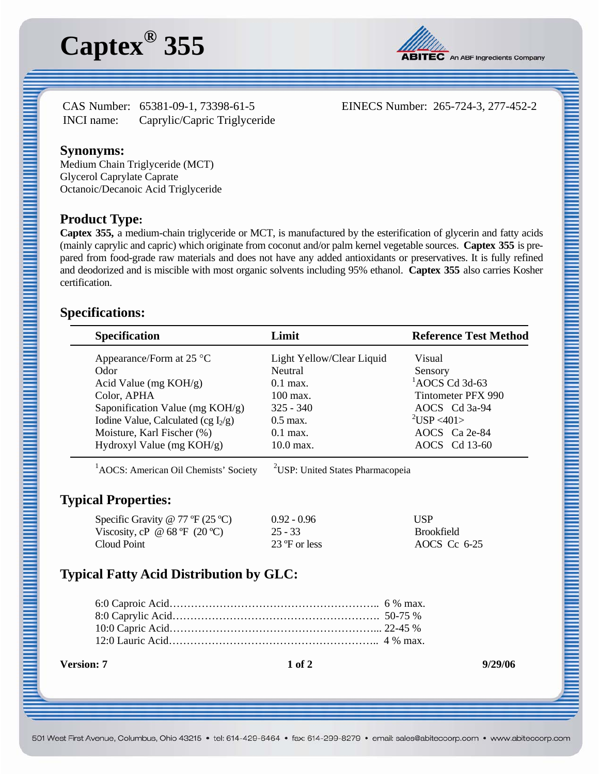



CAS Number: 65381-09-1, 73398-61-5 EINECS Number: 265-724-3, 277-452-2 INCI name: Caprylic/Capric Triglyceride

### **Synonyms:**

Medium Chain Triglyceride (MCT) Glycerol Caprylate Caprate Octanoic/Decanoic Acid Triglyceride

#### **Product Type:**

**Captex 355,** a medium-chain triglyceride or MCT, is manufactured by the esterification of glycerin and fatty acids (mainly caprylic and capric) which originate from coconut and/or palm kernel vegetable sources. **Captex 355** is prepared from food-grade raw materials and does not have any added antioxidants or preservatives. It is fully refined and deodorized and is miscible with most organic solvents including 95% ethanol. **Captex 355** also carries Kosher certification.

### **Specifications:**

| <b>Specification</b>                   | Limit                     | <b>Reference Test Method</b> |
|----------------------------------------|---------------------------|------------------------------|
| Appearance/Form at $25^{\circ}$ C      | Light Yellow/Clear Liquid | Visual                       |
| Odor                                   | Neutral                   | Sensory                      |
| Acid Value (mg $KOH/g$ )               | $0.1$ max.                | $^{1}$ AOCS Cd 3d-63         |
| Color, APHA                            | 100 max.                  | Tintometer PFX 990           |
| Saponification Value (mg KOH/g)        | $325 - 340$               | AOCS Cd 3a-94                |
| Iodine Value, Calculated (cg $I_2/g$ ) | $0.5$ max.                | $^{2}USP < 401$              |
| Moisture, Karl Fischer (%)             | $0.1$ max.                | AOCS Ca 2e-84                |
| Hydroxyl Value (mg $KOH/g$ )           | $10.0$ max.               | AOCS Cd 13-60                |

 $1$ AOCS: American Oil Chemists' Society USP: United States Pharmacopeia

### **Typical Properties:**

| Specific Gravity @ 77 $\mathbb{P}(25 \degree C)$ | $0.92 - 0.96$ | <b>USP</b>        |
|--------------------------------------------------|---------------|-------------------|
| Viscosity, cP @ 68 °F $(20 °C)$                  | $25 - 33$     | <b>Brookfield</b> |
| Cloud Point                                      | 23 °F or less | AOCS Cc 6-25      |

# **Typical Fatty Acid Distribution by GLC:**

**Version: 7 1 of 2 9/29/06**